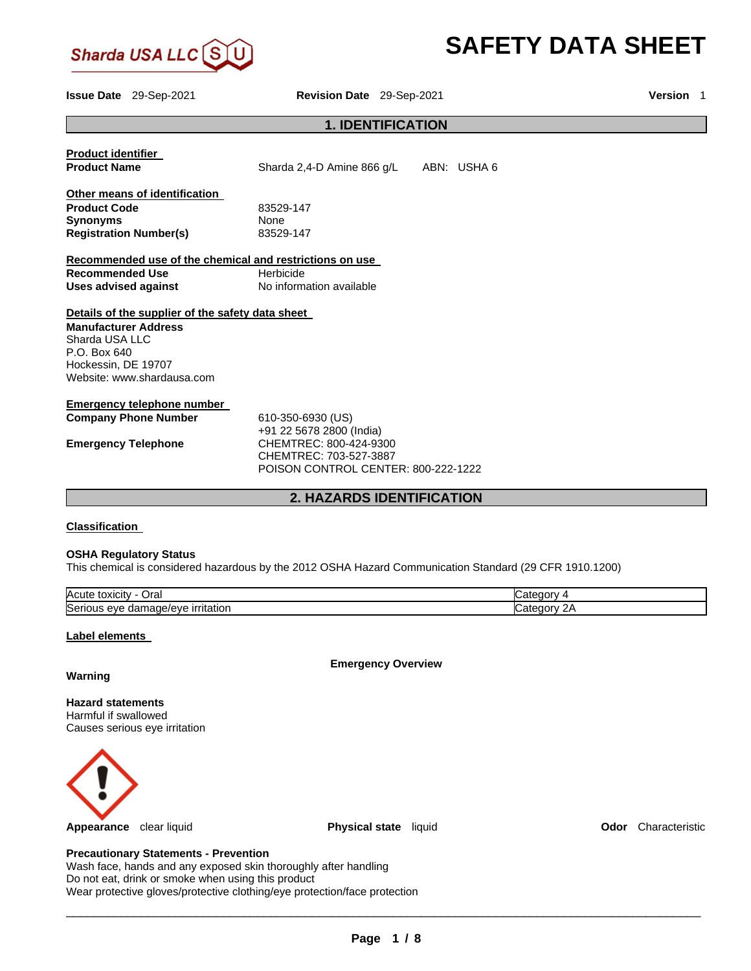

# **SAFETY DATA SHEET**

**Issue Date** 29-Sep-2021 **Revision Date** 29-Sep-2021 **Version** 1

## **1. IDENTIFICATION**

| <b>Product identifier</b>                               |                                     |             |
|---------------------------------------------------------|-------------------------------------|-------------|
| <b>Product Name</b>                                     | Sharda 2,4-D Amine 866 g/L          | ABN: USHA 6 |
| Other means of identification                           |                                     |             |
| <b>Product Code</b>                                     | 83529-147                           |             |
| <b>Synonyms</b>                                         | <b>None</b>                         |             |
| <b>Registration Number(s)</b>                           | 83529-147                           |             |
| Recommended use of the chemical and restrictions on use |                                     |             |
| <b>Recommended Use</b>                                  | Herbicide                           |             |
| Uses advised against                                    | No information available            |             |
| Details of the supplier of the safety data sheet        |                                     |             |
| <b>Manufacturer Address</b>                             |                                     |             |
| Sharda USA LLC                                          |                                     |             |
| P.O. Box 640                                            |                                     |             |
| Hockessin, DE 19707                                     |                                     |             |
| Website: www.shardausa.com                              |                                     |             |
| Emergency telephone number                              |                                     |             |
| <b>Company Phone Number</b>                             | 610-350-6930 (US)                   |             |
|                                                         | +91 22 5678 2800 (India)            |             |
| <b>Emergency Telephone</b>                              | CHEMTREC: 800-424-9300              |             |
|                                                         | CHEMTREC: 703-527-3887              |             |
|                                                         | POISON CONTROL CENTER: 800-222-1222 |             |
|                                                         | <b>2. HAZARDS IDENTIFICATION</b>    |             |
|                                                         |                                     |             |

## **Classification**

## **OSHA Regulatory Status**

This chemical is considered hazardous by the 2012 OSHA Hazard Communication Standard (29 CFR 1910.1200)

| Acute<br>Jral<br>toxicity                                                        | waterror<br>7uu |
|----------------------------------------------------------------------------------|-----------------|
| Seri<br><i><u><b>irritation</b></u></i><br>11 ו<br>eve<br>.nade/evr<br>الطب<br>ື | ⊶ate<br>м       |

## **Label elements**

**Emergency Overview** 

## **Warning**

**Hazard statements** Harmful if swallowed Causes serious eye irritation



**Appearance** clear liquid **Physical state** liquid **Odor** Characteristic

## **Precautionary Statements - Prevention**

Wash face, hands and any exposed skin thoroughly after handling Do not eat, drink or smoke when using this product Wear protective gloves/protective clothing/eye protection/face protection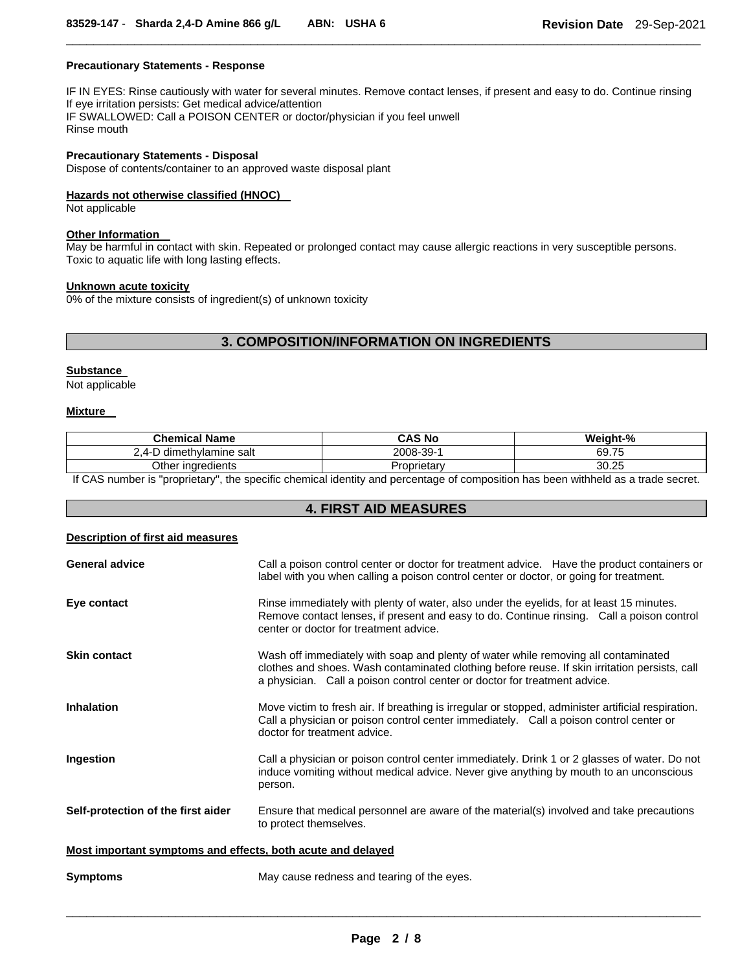## **Precautionary Statements - Response**

IF IN EYES: Rinse cautiously with water for several minutes. Remove contact lenses, if present and easy to do. Continue rinsing If eye irritation persists: Get medical advice/attention IF SWALLOWED: Call a POISON CENTER or doctor/physician if you feel unwell Rinse mouth

\_\_\_\_\_\_\_\_\_\_\_\_\_\_\_\_\_\_\_\_\_\_\_\_\_\_\_\_\_\_\_\_\_\_\_\_\_\_\_\_\_\_\_\_\_\_\_\_\_\_\_\_\_\_\_\_\_\_\_\_\_\_\_\_\_\_\_\_\_\_\_\_\_\_\_\_\_\_\_\_\_\_\_\_\_\_\_\_\_\_\_\_\_

## **Precautionary Statements - Disposal**

Dispose of contents/container to an approved waste disposal plant

## **Hazards not otherwise classified (HNOC)**

Not applicable

## **Other Information**

May be harmful in contact with skin. Repeated or prolonged contact may cause allergic reactions in very susceptible persons. Toxic to aquatic life with long lasting effects.

#### **Unknown acute toxicity**

0% of the mixture consists of ingredient(s) of unknown toxicity

## **3. COMPOSITION/INFORMATION ON INGREDIENTS**

## **Substance**

Not applicable

## **Mixture**

| <b>Chemical Name</b>           | CAS No     | Weight-% |
|--------------------------------|------------|----------|
| -D dimethylamine salt<br>- 4-1 | 2008-39-1  | 69.75    |
| Other ingredients              | roprietarv | 30.25    |
| .<br>$- - -$<br>. .            | .<br>. .   | .        |

If CAS number is "proprietary", the specific chemical identity and percentage of composition has been withheld as a trade secret.

## **4. FIRST AID MEASURES**

## **Description of first aid measures**

| <b>General advice</b>                                       | Call a poison control center or doctor for treatment advice. Have the product containers or<br>label with you when calling a poison control center or doctor, or going for treatment.                                                                            |
|-------------------------------------------------------------|------------------------------------------------------------------------------------------------------------------------------------------------------------------------------------------------------------------------------------------------------------------|
| Eye contact                                                 | Rinse immediately with plenty of water, also under the eyelids, for at least 15 minutes.<br>Remove contact lenses, if present and easy to do. Continue rinsing. Call a poison control<br>center or doctor for treatment advice.                                  |
| <b>Skin contact</b>                                         | Wash off immediately with soap and plenty of water while removing all contaminated<br>clothes and shoes. Wash contaminated clothing before reuse. If skin irritation persists, call<br>a physician. Call a poison control center or doctor for treatment advice. |
| <b>Inhalation</b>                                           | Move victim to fresh air. If breathing is irregular or stopped, administer artificial respiration.<br>Call a physician or poison control center immediately. Call a poison control center or<br>doctor for treatment advice.                                     |
| Ingestion                                                   | Call a physician or poison control center immediately. Drink 1 or 2 glasses of water. Do not<br>induce vomiting without medical advice. Never give anything by mouth to an unconscious<br>person.                                                                |
| Self-protection of the first aider                          | Ensure that medical personnel are aware of the material(s) involved and take precautions<br>to protect themselves.                                                                                                                                               |
| Most important symptoms and effects, both acute and delayed |                                                                                                                                                                                                                                                                  |
| <b>Symptoms</b>                                             | May cause redness and tearing of the eyes.                                                                                                                                                                                                                       |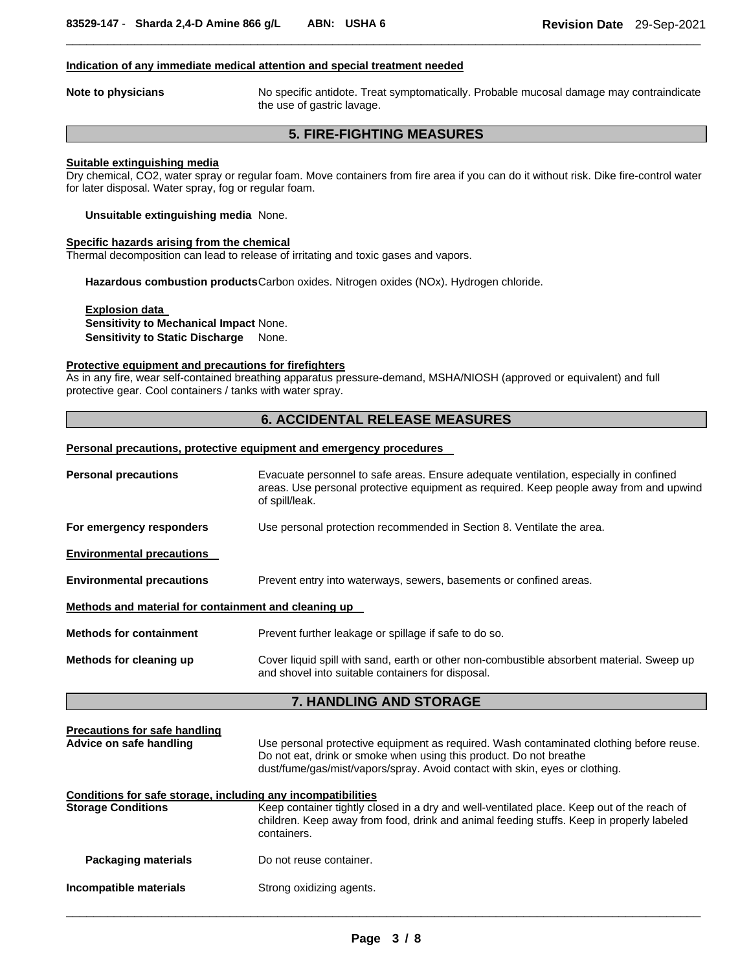## **Indication of any immediate medical attention and special treatment needed**

**Note to physicians** No specific antidote. Treat symptomatically. Probable mucosal damage may contraindicate the use of gastric lavage.

## **5. FIRE-FIGHTING MEASURES**

\_\_\_\_\_\_\_\_\_\_\_\_\_\_\_\_\_\_\_\_\_\_\_\_\_\_\_\_\_\_\_\_\_\_\_\_\_\_\_\_\_\_\_\_\_\_\_\_\_\_\_\_\_\_\_\_\_\_\_\_\_\_\_\_\_\_\_\_\_\_\_\_\_\_\_\_\_\_\_\_\_\_\_\_\_\_\_\_\_\_\_\_\_

## **Suitable extinguishing media**

Dry chemical, CO2, water spray or regular foam. Move containers from fire area if you can do it without risk. Dike fire-control water for later disposal. Water spray, fog or regular foam.

**Unsuitable extinguishing media** None.

## **Specific hazards arising from the chemical**

Thermal decomposition can lead to release of irritating and toxic gases and vapors.

**Hazardous combustion products** Carbon oxides. Nitrogen oxides (NOx). Hydrogen chloride.

**Explosion data Sensitivity to Mechanical Impact** None. **Sensitivity to Static Discharge** None.

## **Protective equipment and precautions for firefighters**

As in any fire, wear self-contained breathing apparatus pressure-demand, MSHA/NIOSH (approved or equivalent) and full protective gear. Cool containers / tanks with water spray.

## **6. ACCIDENTAL RELEASE MEASURES**

#### **Personal precautions, protective equipment and emergency procedures**

| <b>Personal precautions</b>                                     | Evacuate personnel to safe areas. Ensure adequate ventilation, especially in confined<br>areas. Use personal protective equipment as required. Keep people away from and upwind<br>of spill/leak.                                            |  |
|-----------------------------------------------------------------|----------------------------------------------------------------------------------------------------------------------------------------------------------------------------------------------------------------------------------------------|--|
| For emergency responders                                        | Use personal protection recommended in Section 8. Ventilate the area.                                                                                                                                                                        |  |
| <b>Environmental precautions</b>                                |                                                                                                                                                                                                                                              |  |
| <b>Environmental precautions</b>                                | Prevent entry into waterways, sewers, basements or confined areas.                                                                                                                                                                           |  |
| Methods and material for containment and cleaning up            |                                                                                                                                                                                                                                              |  |
| <b>Methods for containment</b>                                  | Prevent further leakage or spillage if safe to do so.                                                                                                                                                                                        |  |
| Methods for cleaning up                                         | Cover liquid spill with sand, earth or other non-combustible absorbent material. Sweep up<br>and shovel into suitable containers for disposal.                                                                                               |  |
|                                                                 | 7. HANDLING AND STORAGE                                                                                                                                                                                                                      |  |
| <b>Precautions for safe handling</b><br>Advice on safe handling | Use personal protective equipment as required. Wash contaminated clothing before reuse.<br>Do not eat, drink or smoke when using this product. Do not breathe<br>dust/fume/gas/mist/vapors/spray. Avoid contact with skin, eyes or clothing. |  |
| Conditions for safe storage, including any incompatibilities    |                                                                                                                                                                                                                                              |  |
| <b>Storage Conditions</b>                                       | Keep container tightly closed in a dry and well-ventilated place. Keep out of the reach of<br>children. Keep away from food, drink and animal feeding stuffs. Keep in properly labeled<br>containers.                                        |  |
| <b>Packaging materials</b>                                      | Do not reuse container.                                                                                                                                                                                                                      |  |
| Incompatible materials                                          | Strong oxidizing agents.                                                                                                                                                                                                                     |  |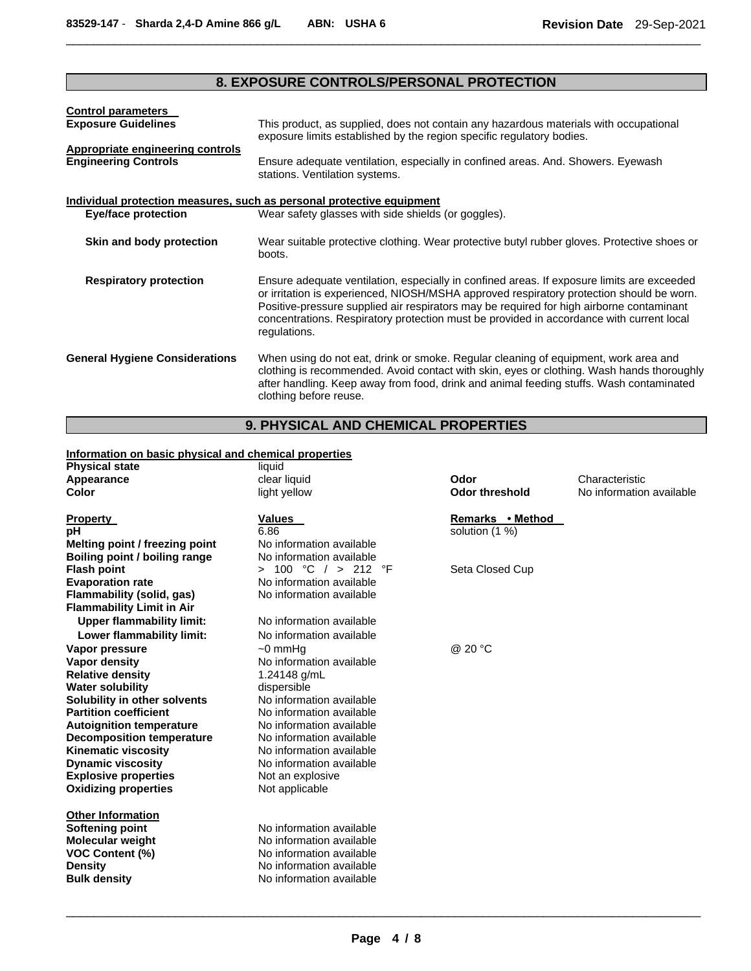## **8. EXPOSURE CONTROLS/PERSONAL PROTECTION**

\_\_\_\_\_\_\_\_\_\_\_\_\_\_\_\_\_\_\_\_\_\_\_\_\_\_\_\_\_\_\_\_\_\_\_\_\_\_\_\_\_\_\_\_\_\_\_\_\_\_\_\_\_\_\_\_\_\_\_\_\_\_\_\_\_\_\_\_\_\_\_\_\_\_\_\_\_\_\_\_\_\_\_\_\_\_\_\_\_\_\_\_\_

| <b>Control parameters</b>                                             |                                                                                                                                                                                                                                                                                                                                                                                                |
|-----------------------------------------------------------------------|------------------------------------------------------------------------------------------------------------------------------------------------------------------------------------------------------------------------------------------------------------------------------------------------------------------------------------------------------------------------------------------------|
| <b>Exposure Guidelines</b>                                            | This product, as supplied, does not contain any hazardous materials with occupational<br>exposure limits established by the region specific regulatory bodies.                                                                                                                                                                                                                                 |
| Appropriate engineering controls<br><b>Engineering Controls</b>       | Ensure adequate ventilation, especially in confined areas. And. Showers. Eyewash<br>stations. Ventilation systems.                                                                                                                                                                                                                                                                             |
| Individual protection measures, such as personal protective equipment |                                                                                                                                                                                                                                                                                                                                                                                                |
| Eye/face protection                                                   | Wear safety glasses with side shields (or goggles).                                                                                                                                                                                                                                                                                                                                            |
| Skin and body protection                                              | Wear suitable protective clothing. Wear protective butyl rubber gloves. Protective shoes or<br>boots.                                                                                                                                                                                                                                                                                          |
| <b>Respiratory protection</b>                                         | Ensure adequate ventilation, especially in confined areas. If exposure limits are exceeded<br>or irritation is experienced, NIOSH/MSHA approved respiratory protection should be worn.<br>Positive-pressure supplied air respirators may be required for high airborne contaminant<br>concentrations. Respiratory protection must be provided in accordance with current local<br>regulations. |
| <b>General Hygiene Considerations</b>                                 | When using do not eat, drink or smoke. Regular cleaning of equipment, work area and<br>clothing is recommended. Avoid contact with skin, eyes or clothing. Wash hands thoroughly<br>after handling. Keep away from food, drink and animal feeding stuffs. Wash contaminated<br>clothing before reuse.                                                                                          |

## **9. PHYSICAL AND CHEMICAL PROPERTIES**

| Information on basic physical and chemical properties |                                  |                       |                          |
|-------------------------------------------------------|----------------------------------|-----------------------|--------------------------|
| <b>Physical state</b>                                 | liquid                           |                       |                          |
| Appearance                                            | clear liquid                     | Odor                  | Characteristic           |
| <b>Color</b>                                          | light yellow                     | <b>Odor threshold</b> | No information available |
| <b>Property</b>                                       | <b>Values</b>                    | Remarks • Method      |                          |
| рH                                                    | 6.86                             | solution (1 %)        |                          |
| Melting point / freezing point                        | No information available         |                       |                          |
| Boiling point / boiling range                         | No information available         |                       |                          |
| <b>Flash point</b>                                    | 100 °C $/$ > 212<br>°F<br>$\geq$ | Seta Closed Cup       |                          |
| <b>Evaporation rate</b>                               | No information available         |                       |                          |
| Flammability (solid, gas)                             | No information available         |                       |                          |
| <b>Flammability Limit in Air</b>                      |                                  |                       |                          |
| <b>Upper flammability limit:</b>                      | No information available         |                       |                          |
| Lower flammability limit:                             | No information available         |                       |                          |
| Vapor pressure                                        | $\sim$ 0 mmHq                    | @ 20 °C               |                          |
| <b>Vapor density</b>                                  | No information available         |                       |                          |
| <b>Relative density</b>                               | 1.24148 g/mL                     |                       |                          |
| <b>Water solubility</b>                               | dispersible                      |                       |                          |
| Solubility in other solvents                          | No information available         |                       |                          |
| <b>Partition coefficient</b>                          | No information available         |                       |                          |
| <b>Autoignition temperature</b>                       | No information available         |                       |                          |
| <b>Decomposition temperature</b>                      | No information available         |                       |                          |
| <b>Kinematic viscosity</b>                            | No information available         |                       |                          |
| <b>Dynamic viscosity</b>                              | No information available         |                       |                          |
| <b>Explosive properties</b>                           | Not an explosive                 |                       |                          |
| <b>Oxidizing properties</b>                           | Not applicable                   |                       |                          |
| <b>Other Information</b>                              |                                  |                       |                          |
| Softening point                                       | No information available         |                       |                          |
| Molecular weight                                      | No information available         |                       |                          |
| <b>VOC Content (%)</b>                                | No information available         |                       |                          |
| <b>Density</b>                                        | No information available         |                       |                          |
| <b>Bulk density</b>                                   | No information available         |                       |                          |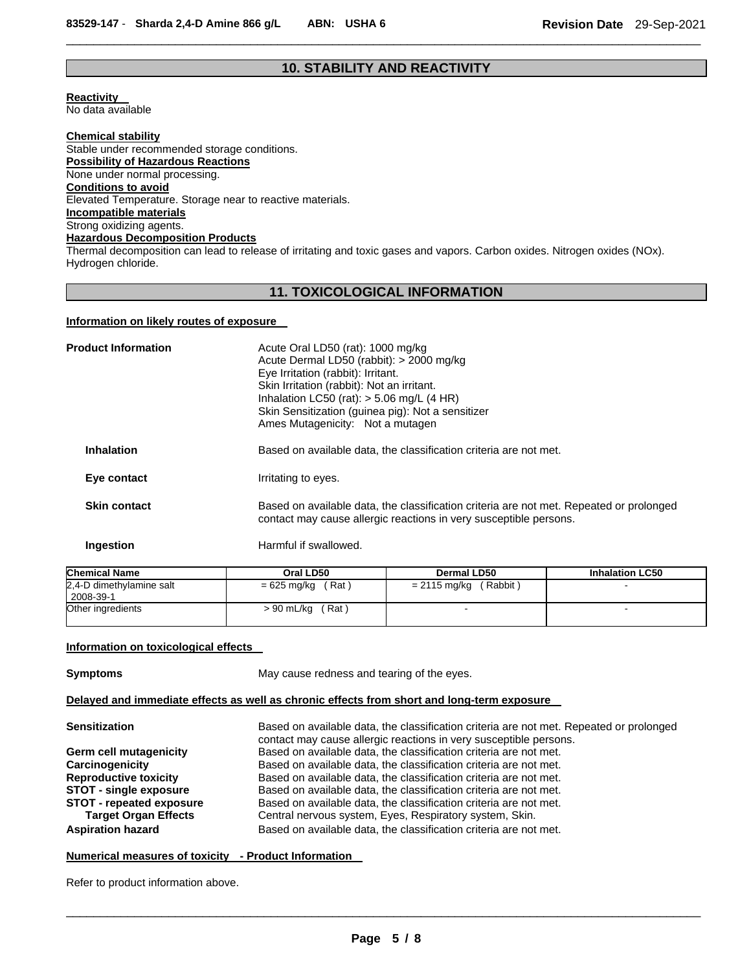## **10. STABILITY AND REACTIVITY**

\_\_\_\_\_\_\_\_\_\_\_\_\_\_\_\_\_\_\_\_\_\_\_\_\_\_\_\_\_\_\_\_\_\_\_\_\_\_\_\_\_\_\_\_\_\_\_\_\_\_\_\_\_\_\_\_\_\_\_\_\_\_\_\_\_\_\_\_\_\_\_\_\_\_\_\_\_\_\_\_\_\_\_\_\_\_\_\_\_\_\_\_\_

**Reactivity**  No data available

**Chemical stability** Stable under recommended storage conditions. **Possibility of Hazardous Reactions** None under normal processing. **Conditions to avoid** Elevated Temperature. Storage near to reactive materials. **Incompatible materials** Strong oxidizing agents. **Hazardous Decomposition Products**

Thermal decomposition can lead to release of irritating and toxic gases and vapors. Carbon oxides. Nitrogen oxides (NOx). Hydrogen chloride.

## **11. TOXICOLOGICAL INFORMATION**

## **Information on likely routes of exposure**

| <b>Product Information</b> | Acute Oral LD50 (rat): 1000 mg/kg<br>Acute Dermal LD50 (rabbit): > 2000 mg/kg<br>Eye Irritation (rabbit): Irritant.<br>Skin Irritation (rabbit): Not an irritant.<br>Inhalation LC50 (rat): $>$ 5.06 mg/L (4 HR)<br>Skin Sensitization (guinea pig): Not a sensitizer<br>Ames Mutagenicity: Not a mutagen |
|----------------------------|-----------------------------------------------------------------------------------------------------------------------------------------------------------------------------------------------------------------------------------------------------------------------------------------------------------|
| <b>Inhalation</b>          | Based on available data, the classification criteria are not met.                                                                                                                                                                                                                                         |
| Eye contact                | Irritating to eyes.                                                                                                                                                                                                                                                                                       |
| <b>Skin contact</b>        | Based on available data, the classification criteria are not met. Repeated or prolonged<br>contact may cause allergic reactions in very susceptible persons.                                                                                                                                              |
| Ingestion                  | Harmful if swallowed.                                                                                                                                                                                                                                                                                     |

| <b>Chemical Name</b>                  | Oral LD50            | <b>Dermal LD50</b>       | <b>Inhalation LC50</b> |
|---------------------------------------|----------------------|--------------------------|------------------------|
| 2,4-D dimethylamine salt<br>2008-39-1 | (Rat)<br>= 625 mg/kg | (Rabbit)<br>= 2115 mg/kg |                        |
| Other ingredients                     | > 90 mL/kg<br>(Rat)  |                          |                        |

## **Information on toxicological effects**

**Symptoms May cause redness and tearing of the eyes.** 

## **Delayed and immediate effects as well as chronic effects from short and long-term exposure**

| <b>Sensitization</b>                                           | Based on available data, the classification criteria are not met. Repeated or prolonged<br>contact may cause allergic reactions in very susceptible persons. |
|----------------------------------------------------------------|--------------------------------------------------------------------------------------------------------------------------------------------------------------|
| Germ cell mutagenicity                                         | Based on available data, the classification criteria are not met.                                                                                            |
| Carcinogenicity                                                | Based on available data, the classification criteria are not met.                                                                                            |
| <b>Reproductive toxicity</b>                                   | Based on available data, the classification criteria are not met.                                                                                            |
| <b>STOT - single exposure</b>                                  | Based on available data, the classification criteria are not met.                                                                                            |
| <b>STOT - repeated exposure</b><br><b>Target Organ Effects</b> | Based on available data, the classification criteria are not met.<br>Central nervous system, Eyes, Respiratory system, Skin.                                 |
| <b>Aspiration hazard</b>                                       | Based on available data, the classification criteria are not met.                                                                                            |

## **Numerical measures of toxicity - Product Information**

Refer to product information above.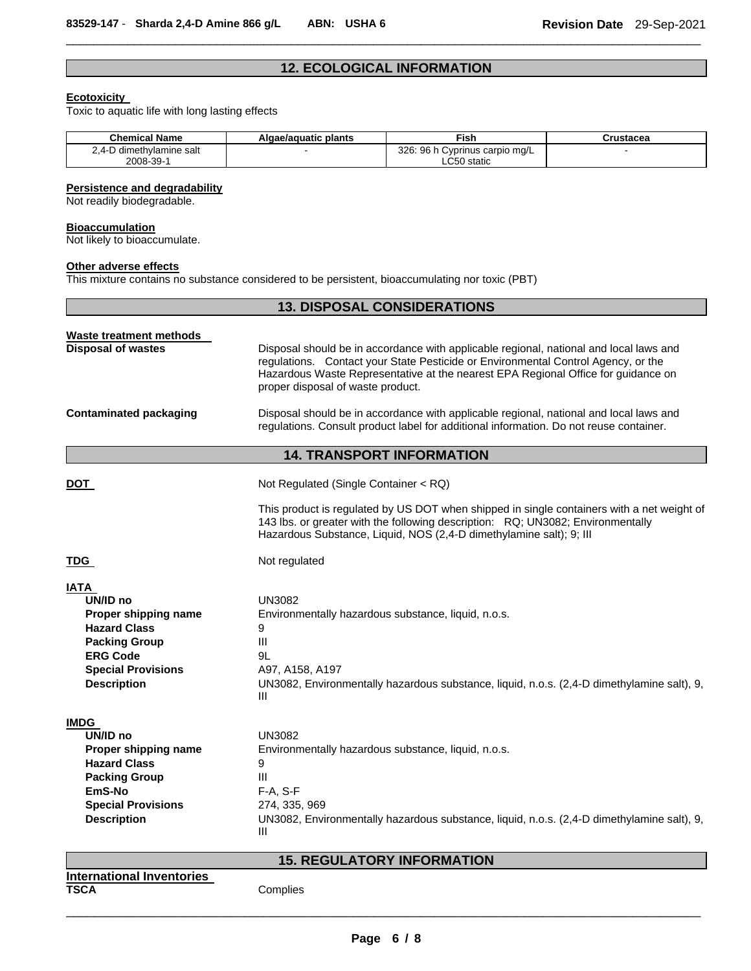## **12. ECOLOGICAL INFORMATION**

\_\_\_\_\_\_\_\_\_\_\_\_\_\_\_\_\_\_\_\_\_\_\_\_\_\_\_\_\_\_\_\_\_\_\_\_\_\_\_\_\_\_\_\_\_\_\_\_\_\_\_\_\_\_\_\_\_\_\_\_\_\_\_\_\_\_\_\_\_\_\_\_\_\_\_\_\_\_\_\_\_\_\_\_\_\_\_\_\_\_\_\_\_

## **Ecotoxicity**

Toxic to aquatic life with long lasting effects

| <b>Chemical Name</b>     | Algae/aguatic plants | ™ish                           | Crustacea |
|--------------------------|----------------------|--------------------------------|-----------|
| 2.4-D dimethylamine salt |                      | 326: 96 h Cyprinus carpio mg/L |           |
| 2008-39-1                |                      | LC50 static                    |           |

## **Persistence and degradability**

Not readily biodegradable.

#### **Bioaccumulation**

Not likely to bioaccumulate.

#### **Other adverse effects**

This mixture contains no substance considered to be persistent, bioaccumulating nor toxic (PBT)

|                                                 | <b>13. DISPOSAL CONSIDERATIONS</b>                                                                                                                                                                                                                                                                    |  |
|-------------------------------------------------|-------------------------------------------------------------------------------------------------------------------------------------------------------------------------------------------------------------------------------------------------------------------------------------------------------|--|
| <b>Waste treatment methods</b>                  |                                                                                                                                                                                                                                                                                                       |  |
| <b>Disposal of wastes</b>                       | Disposal should be in accordance with applicable regional, national and local laws and<br>regulations. Contact your State Pesticide or Environmental Control Agency, or the<br>Hazardous Waste Representative at the nearest EPA Regional Office for guidance on<br>proper disposal of waste product. |  |
| <b>Contaminated packaging</b>                   | Disposal should be in accordance with applicable regional, national and local laws and<br>regulations. Consult product label for additional information. Do not reuse container.                                                                                                                      |  |
|                                                 | <b>14. TRANSPORT INFORMATION</b>                                                                                                                                                                                                                                                                      |  |
| DOT                                             | Not Regulated (Single Container < RQ)                                                                                                                                                                                                                                                                 |  |
|                                                 | This product is regulated by US DOT when shipped in single containers with a net weight of<br>143 lbs. or greater with the following description: RQ; UN3082; Environmentally<br>Hazardous Substance, Liquid, NOS (2,4-D dimethylamine salt); 9; III                                                  |  |
| TDG                                             | Not regulated                                                                                                                                                                                                                                                                                         |  |
| <b>IATA</b>                                     |                                                                                                                                                                                                                                                                                                       |  |
| UN/ID no                                        | <b>UN3082</b>                                                                                                                                                                                                                                                                                         |  |
| Proper shipping name                            | Environmentally hazardous substance, liquid, n.o.s.                                                                                                                                                                                                                                                   |  |
| <b>Hazard Class</b><br><b>Packing Group</b>     | 9<br>$\mathbf{III}$                                                                                                                                                                                                                                                                                   |  |
| <b>ERG Code</b>                                 | 9L                                                                                                                                                                                                                                                                                                    |  |
| <b>Special Provisions</b>                       | A97, A158, A197                                                                                                                                                                                                                                                                                       |  |
| <b>Description</b>                              | UN3082, Environmentally hazardous substance, liquid, n.o.s. (2,4-D dimethylamine salt), 9,<br>Ш                                                                                                                                                                                                       |  |
| <b>IMDG</b>                                     |                                                                                                                                                                                                                                                                                                       |  |
| UN/ID no                                        | <b>UN3082</b>                                                                                                                                                                                                                                                                                         |  |
| Proper shipping name                            | Environmentally hazardous substance, liquid, n.o.s.                                                                                                                                                                                                                                                   |  |
| <b>Hazard Class</b>                             | 9                                                                                                                                                                                                                                                                                                     |  |
| <b>Packing Group</b>                            | Ш                                                                                                                                                                                                                                                                                                     |  |
| EmS-No                                          | F-A, S-F                                                                                                                                                                                                                                                                                              |  |
| <b>Special Provisions</b><br><b>Description</b> | 274, 335, 969<br>UN3082, Environmentally hazardous substance, liquid, n.o.s. (2,4-D dimethylamine salt), 9,<br>Ш                                                                                                                                                                                      |  |
|                                                 | <b>15. REGULATORY INFORMATION</b>                                                                                                                                                                                                                                                                     |  |
| <b>International Inventories</b>                |                                                                                                                                                                                                                                                                                                       |  |
| TSCA                                            | Complies                                                                                                                                                                                                                                                                                              |  |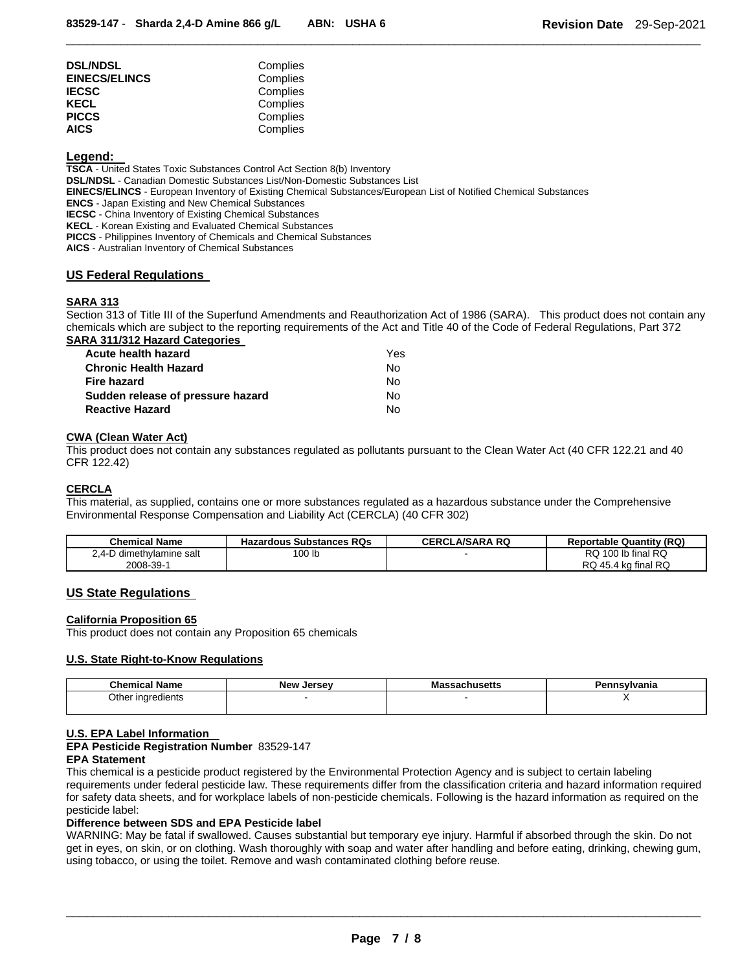| <b>DSL/NDSL</b>      | Complies |
|----------------------|----------|
| <b>EINECS/ELINCS</b> | Complies |
| IECSC                | Complies |
| KECL                 | Complies |
| <b>PICCS</b>         | Complies |
| AICS                 | Complies |

## **Legend:**

**TSCA** - United States Toxic Substances Control Act Section 8(b) Inventory **DSL/NDSL** - Canadian Domestic Substances List/Non-Domestic Substances List **EINECS/ELINCS** - European Inventory of Existing Chemical Substances/European List of Notified Chemical Substances **ENCS** - Japan Existing and New Chemical Substances **IECSC** - China Inventory of Existing Chemical Substances **KECL** - Korean Existing and Evaluated Chemical Substances **PICCS** - Philippines Inventory of Chemicals and Chemical Substances **AICS** - Australian Inventory of Chemical Substances

## **US Federal Regulations**

## **SARA 313**

Section 313 of Title III of the Superfund Amendments and Reauthorization Act of 1986 (SARA). This product does not contain any chemicals which are subject to the reporting requirements of the Act and Title 40 of the Code of Federal Regulations, Part 372 **SARA 311/312 Hazard Categories** 

\_\_\_\_\_\_\_\_\_\_\_\_\_\_\_\_\_\_\_\_\_\_\_\_\_\_\_\_\_\_\_\_\_\_\_\_\_\_\_\_\_\_\_\_\_\_\_\_\_\_\_\_\_\_\_\_\_\_\_\_\_\_\_\_\_\_\_\_\_\_\_\_\_\_\_\_\_\_\_\_\_\_\_\_\_\_\_\_\_\_\_\_\_

| Acute health hazard               | Yes |
|-----------------------------------|-----|
| <b>Chronic Health Hazard</b>      | N٥  |
| <b>Fire hazard</b>                | Nο  |
| Sudden release of pressure hazard | Nο  |
| <b>Reactive Hazard</b>            | Nο  |

## **CWA (Clean Water Act)**

This product does not contain any substances regulated as pollutants pursuant to the Clean Water Act (40 CFR 122.21 and 40 CFR 122.42)

## **CERCLA**

This material, as supplied, contains one or more substances regulated as a hazardous substance under the Comprehensive Environmental Response Compensation and Liability Act (CERCLA) (40 CFR 302)

| Chemical Name            | Hazardous Substances RQs | <b>CERCLA/SARA RQ</b> | <b>Reportable Quantity (RQ)</b> |
|--------------------------|--------------------------|-----------------------|---------------------------------|
| 2.4-D dimethylamine salt | 100 lb                   |                       | RQ 100 lb final RQ              |
| 2008-39-1                |                          |                       | RQ 45.4 kg final RQ             |

## **US State Regulations**

## **California Proposition 65**

This product does not contain any Proposition 65 chemicals

## **U.S. State Right-to-Know Regulations**

| <b>Chemical Name</b> | <b>New Jersey</b> | ssachusetts<br>Ma: | าทรงIvania |
|----------------------|-------------------|--------------------|------------|
| Other<br>ingredients |                   |                    |            |

## **U.S. EPA Label Information**

**EPA Pesticide Registration Number** 83529-147

## **EPA Statement**

This chemical is a pesticide product registered by the Environmental Protection Agency and is subject to certain labeling requirements under federal pesticide law. These requirements differ from the classification criteria and hazard information required for safety data sheets, and for workplace labels of non-pesticide chemicals. Following is the hazard information as required on the pesticide label:

## **Difference between SDS and EPA Pesticide label**

WARNING: May be fatal if swallowed. Causes substantial but temporary eye injury. Harmful if absorbed through the skin. Do not get in eyes, on skin, or on clothing. Wash thoroughly with soap and water after handling and before eating, drinking, chewing gum, using tobacco, or using the toilet. Remove and wash contaminated clothing before reuse.